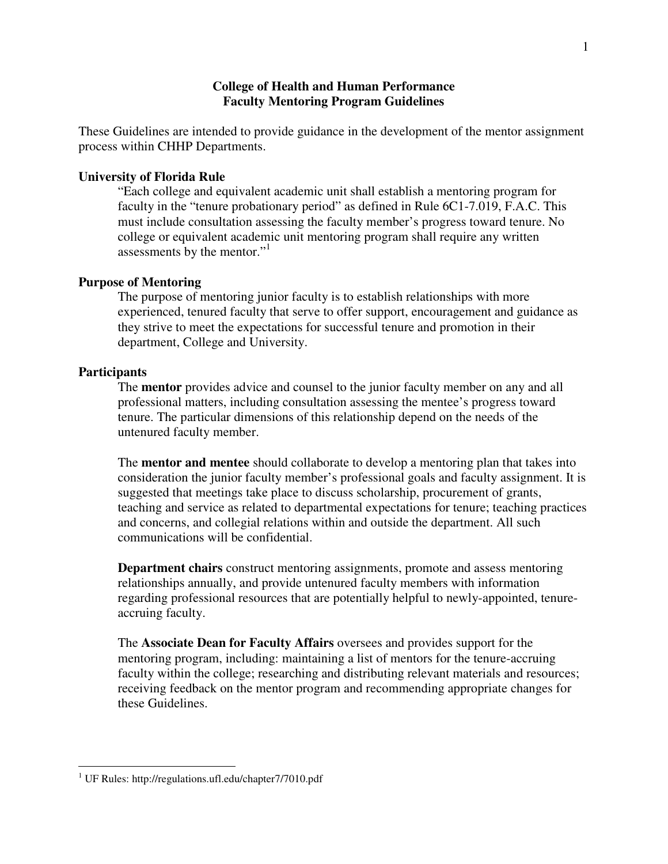# **College of Health and Human Performance Faculty Mentoring Program Guidelines**

These Guidelines are intended to provide guidance in the development of the mentor assignment process within CHHP Departments.

### **University of Florida Rule**

"Each college and equivalent academic unit shall establish a mentoring program for faculty in the "tenure probationary period" as defined in Rule 6C1-7.019, F.A.C. This must include consultation assessing the faculty member's progress toward tenure. No college or equivalent academic unit mentoring program shall require any written assessments by the mentor."<sup>1</sup>

#### **Purpose of Mentoring**

The purpose of mentoring junior faculty is to establish relationships with more experienced, tenured faculty that serve to offer support, encouragement and guidance as they strive to meet the expectations for successful tenure and promotion in their department, College and University.

### **Participants**

l

The **mentor** provides advice and counsel to the junior faculty member on any and all professional matters, including consultation assessing the mentee's progress toward tenure. The particular dimensions of this relationship depend on the needs of the untenured faculty member.

The **mentor and mentee** should collaborate to develop a mentoring plan that takes into consideration the junior faculty member's professional goals and faculty assignment. It is suggested that meetings take place to discuss scholarship, procurement of grants, teaching and service as related to departmental expectations for tenure; teaching practices and concerns, and collegial relations within and outside the department. All such communications will be confidential.

**Department chairs** construct mentoring assignments, promote and assess mentoring relationships annually, and provide untenured faculty members with information regarding professional resources that are potentially helpful to newly-appointed, tenureaccruing faculty.

The **Associate Dean for Faculty Affairs** oversees and provides support for the mentoring program, including: maintaining a list of mentors for the tenure-accruing faculty within the college; researching and distributing relevant materials and resources; receiving feedback on the mentor program and recommending appropriate changes for these Guidelines.

<sup>&</sup>lt;sup>1</sup> UF Rules: http://regulations.ufl.edu/chapter7/7010.pdf